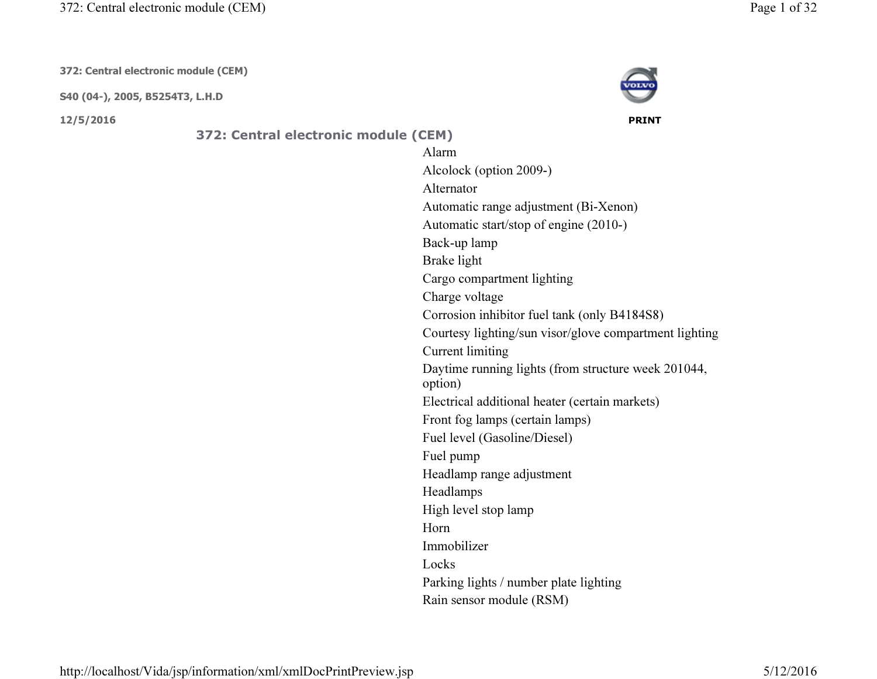372: Central electronic module (CEM)

372: Central electronic module (CEM)

S40 (04-), 2005, B5254T3, L.H.D

12/5/2016 PRINT



372: Central electronic module (CEM) Alarm Alcolock (option 2009-)AlternatorAutomatic range adjustment (Bi-Xenon)Automatic start/stop of engine (2010-)Back-up lampBrake lightCargo compartment lightingCharge voltage Corrosion inhibitor fuel tank (only B4184S8)Courtesy lighting/sun visor/glove compartment lightingCurrent limiting Daytime running lights (from structure week 201044, option) Electrical additional heater (certain markets)Front fog lamps (certain lamps)Fuel level (Gasoline/Diesel)Fuel pump Headlamp range adjustmentHeadlampsHigh level stop lampHorn ImmobilizerLocks Parking lights / number plate lightingRain sensor module (RSM)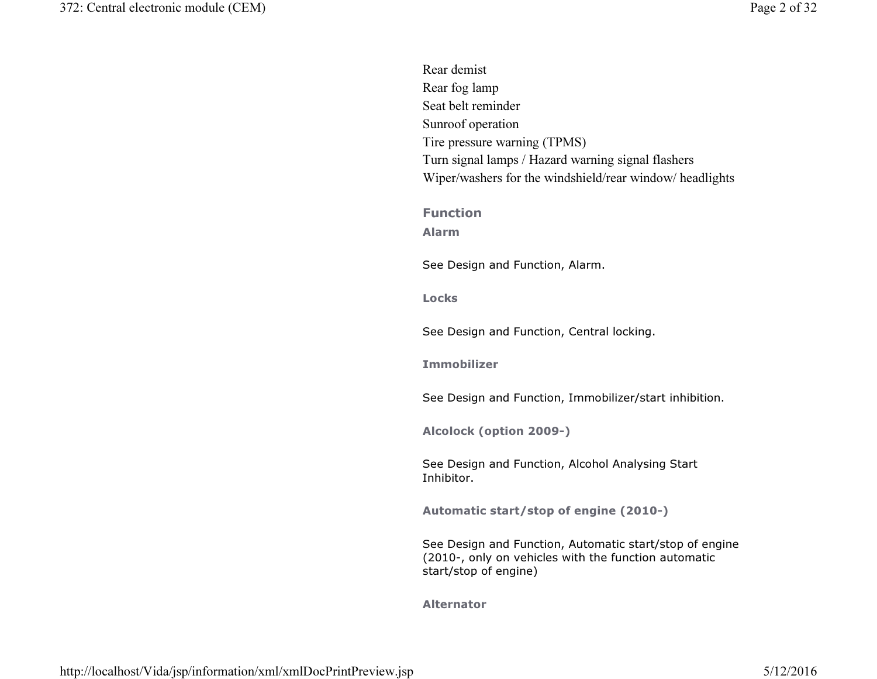| Rear demist                                                                                                     |
|-----------------------------------------------------------------------------------------------------------------|
| Rear fog lamp                                                                                                   |
| Seat belt reminder                                                                                              |
| Sunroof operation                                                                                               |
| Tire pressure warning (TPMS)                                                                                    |
| Turn signal lamps / Hazard warning signal flashers                                                              |
| Wiper/washers for the windshield/rear window/ headlights                                                        |
|                                                                                                                 |
| <b>Function</b>                                                                                                 |
| <b>Alarm</b>                                                                                                    |
| See Design and Function, Alarm.                                                                                 |
|                                                                                                                 |
| <b>Locks</b>                                                                                                    |
|                                                                                                                 |
| See Design and Function, Central locking.                                                                       |
| <b>Immobilizer</b>                                                                                              |
|                                                                                                                 |
| See Design and Function, Immobilizer/start inhibition.                                                          |
|                                                                                                                 |
| Alcolock (option 2009-)                                                                                         |
|                                                                                                                 |
| See Design and Function, Alcohol Analysing Start<br>Inhibitor.                                                  |
|                                                                                                                 |
| Automatic start/stop of engine (2010-)                                                                          |
|                                                                                                                 |
| See Design and Function, Automatic start/stop of engine<br>(2010-, only on vehicles with the function automatic |
| start/stop of engine)                                                                                           |
|                                                                                                                 |
| <b>Alternator</b>                                                                                               |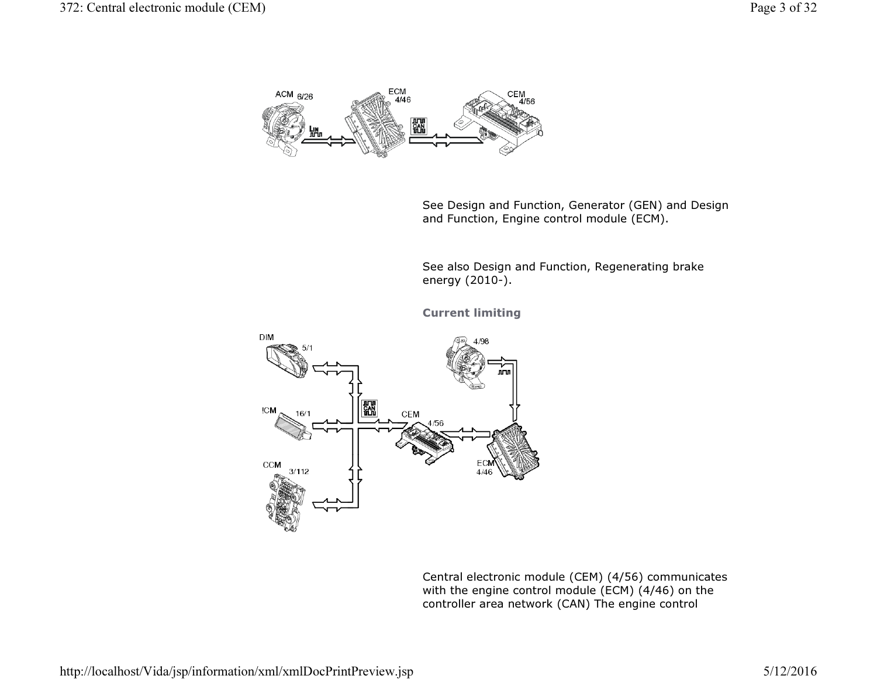

See Design and Function, Generator (GEN) and Design and Function, Engine control module (ECM).

See also Design and Function, Regenerating brake energy (2010-).

Current limiting



Central electronic module (CEM) (4/56) communicates with the engine control module (ECM) (4/46) on the controller area network (CAN) The engine control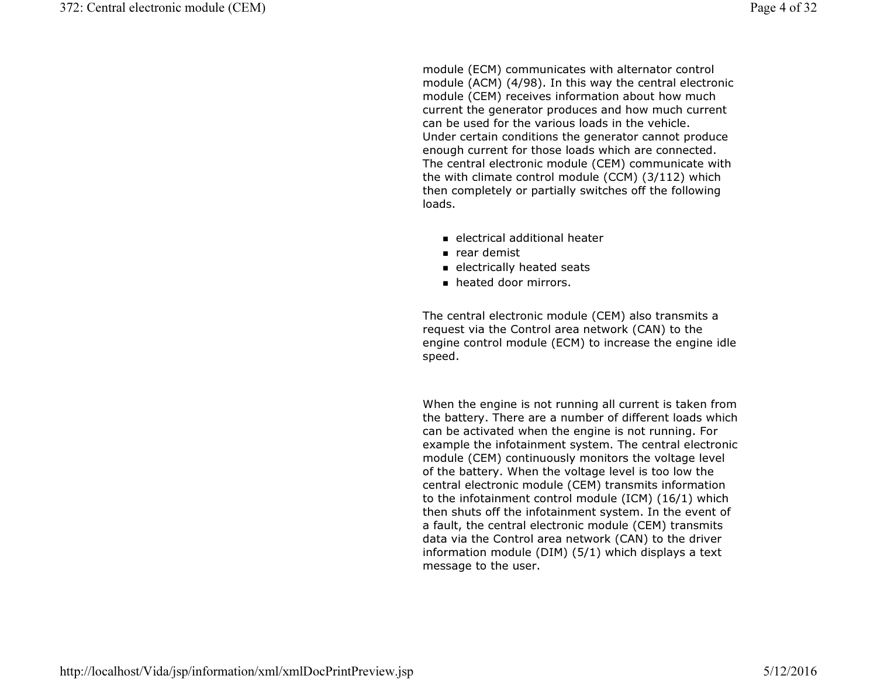module (ECM) communicates with alternator control module (ACM) (4/98). In this way the central electronic module (CEM) receives information about how much current the generator produces and how much current can be used for the various loads in the vehicle. Under certain conditions the generator cannot produce enough current for those loads which are connected. The central electronic module (CEM) communicate with the with climate control module (CCM) (3/112) which then completely or partially switches off the followingloads.

- electrical additional heater
- rear demist
- $\blacksquare$  electrically heated seats
- heated door mirrors.

The central electronic module (CEM) also transmits a request via the Control area network (CAN) to the engine control module (ECM) to increase the engine idle speed.

When the engine is not running all current is taken from the battery. There are a number of different loads which can be activated when the engine is not running. For example the infotainment system. The central electronic module (CEM) continuously monitors the voltage level of the battery. When the voltage level is too low the central electronic module (CEM) transmits information to the infotainment control module (ICM) (16/1) which then shuts off the infotainment system. In the event ofa fault, the central electronic module (CEM) transmits data via the Control area network (CAN) to the driver information module (DIM) (5/1) which displays a text message to the user.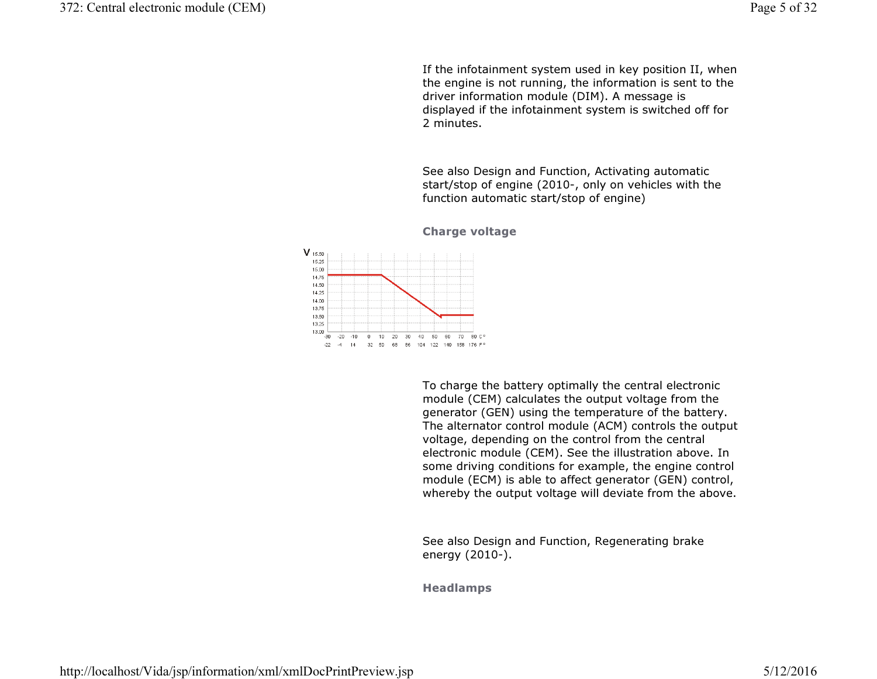If the infotainment system used in key position II, when the engine is not running, the information is sent to the driver information module (DIM). A message is displayed if the infotainment system is switched off for2 minutes.

See also Design and Function, Activating automatic start/stop of engine (2010-, only on vehicles with the function automatic start/stop of engine)



## Charge voltage

To charge the battery optimally the central electronic module (CEM) calculates the output voltage from the generator (GEN) using the temperature of the battery. The alternator control module (ACM) controls the output voltage, depending on the control from the central electronic module (CEM). See the illustration above. In some driving conditions for example, the engine control module (ECM) is able to affect generator (GEN) control, whereby the output voltage will deviate from the above.

See also Design and Function, Regenerating brake energy (2010-).

Headlamps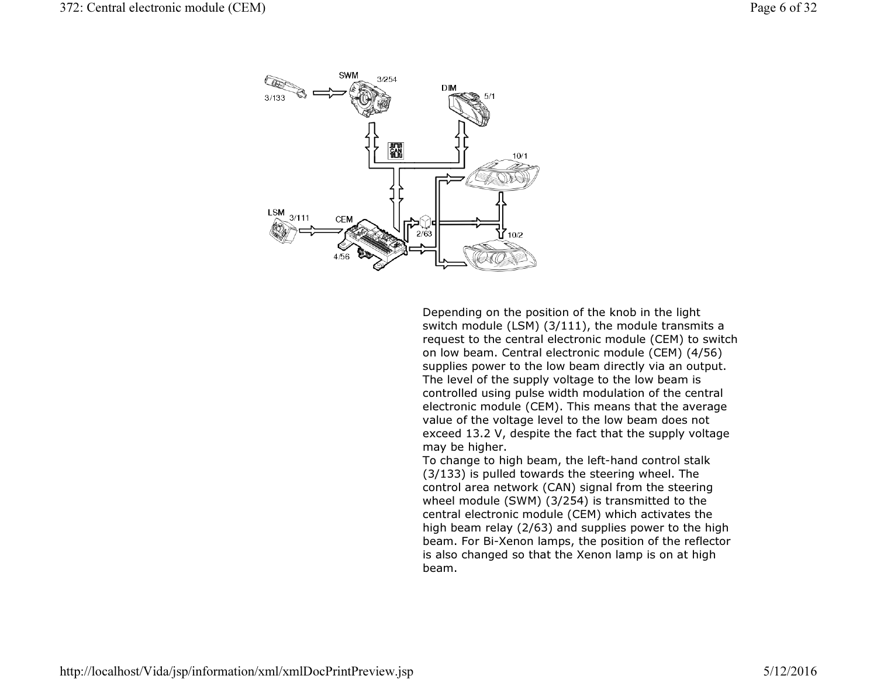

Depending on the position of the knob in the light switch module (LSM) (3/111), the module transmits a request to the central electronic module (CEM) to switch on low beam. Central electronic module (CEM) (4/56) supplies power to the low beam directly via an output. The level of the supply voltage to the low beam is controlled using pulse width modulation of the central electronic module (CEM). This means that the average value of the voltage level to the low beam does not exceed 13.2 V, despite the fact that the supply voltage may be higher.

 To change to high beam, the left-hand control stalk (3/133) is pulled towards the steering wheel. The control area network (CAN) signal from the steering wheel module (SWM) (3/254) is transmitted to the central electronic module (CEM) which activates the high beam relay (2/63) and supplies power to the high beam. For Bi-Xenon lamps, the position of the reflector is also changed so that the Xenon lamp is on at high beam.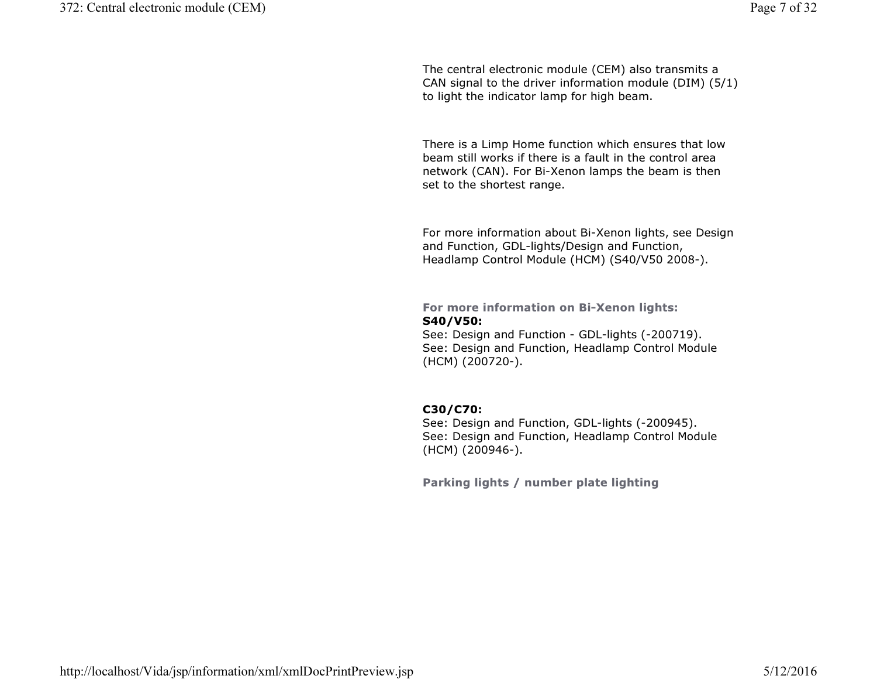The central electronic module (CEM) also transmits a CAN signal to the driver information module (DIM) (5/1) to light the indicator lamp for high beam.

There is a Limp Home function which ensures that low beam still works if there is a fault in the control area network (CAN). For Bi-Xenon lamps the beam is then set to the shortest range.

For more information about Bi-Xenon lights, see Design and Function, GDL-lights/Design and Function, Headlamp Control Module (HCM) (S40/V50 2008-).

For more information on Bi-Xenon lights: S40/V50:

 See: Design and Function - GDL-lights (-200719). See: Design and Function, Headlamp Control Module (HCM) (200720-).

# C30/C70:

 See: Design and Function, GDL-lights (-200945). See: Design and Function, Headlamp Control Module (HCM) (200946-).

Parking lights / number plate lighting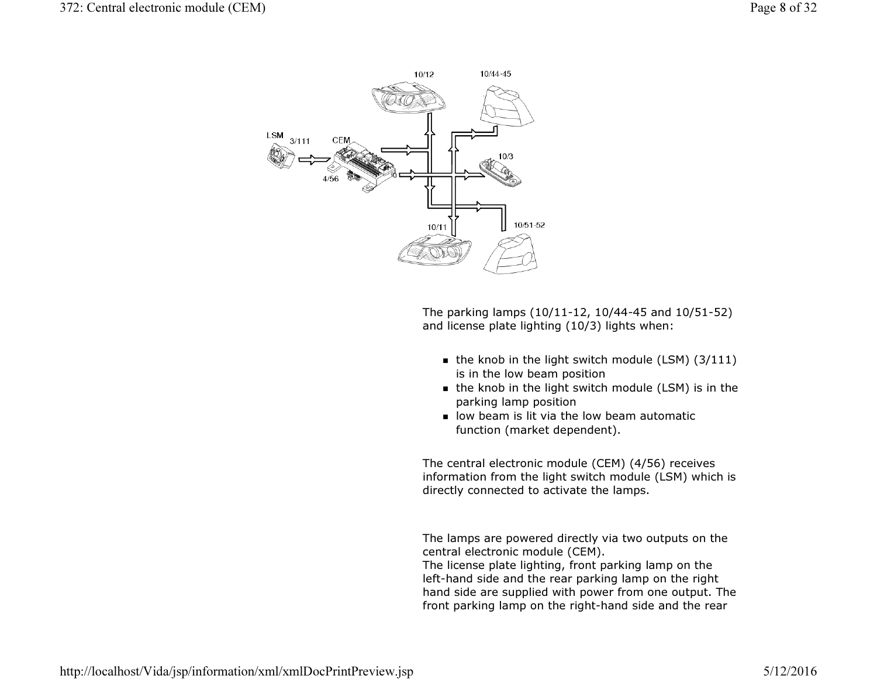

The parking lamps (10/11-12, 10/44-45 and 10/51-52) and license plate lighting (10/3) lights when:

- $\,$  the knob in the light switch module (LSM) (3/111) is in the low beam position
- the knob in the light switch module (LSM) is in the parking lamp position
- $\blacksquare$  low beam is lit via the low beam automatic function (market dependent).

The central electronic module (CEM) (4/56) receives information from the light switch module (LSM) which is directly connected to activate the lamps.

The lamps are powered directly via two outputs on the central electronic module (CEM).

 The license plate lighting, front parking lamp on the left-hand side and the rear parking lamp on the right hand side are supplied with power from one output. Thefront parking lamp on the right-hand side and the rear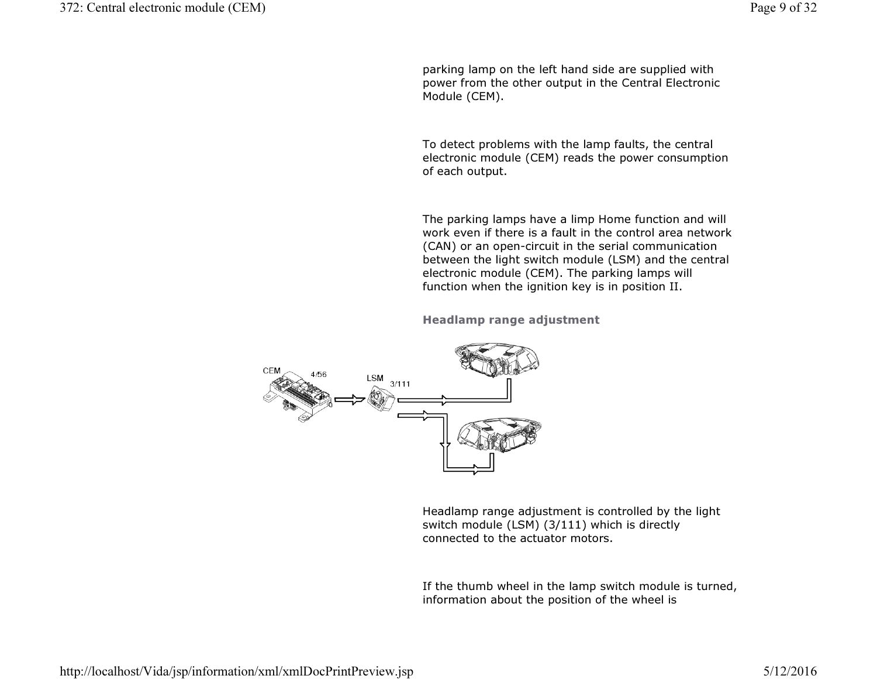parking lamp on the left hand side are supplied with power from the other output in the Central Electronic Module (CEM).

To detect problems with the lamp faults, the central electronic module (CEM) reads the power consumption of each output.

The parking lamps have a limp Home function and will work even if there is a fault in the control area network (CAN) or an open-circuit in the serial communication between the light switch module (LSM) and the central electronic module (CEM). The parking lamps will function when the ignition key is in position II.

Headlamp range adjustment



Headlamp range adjustment is controlled by the light switch module (LSM) (3/111) which is directly connected to the actuator motors.

If the thumb wheel in the lamp switch module is turned, information about the position of the wheel is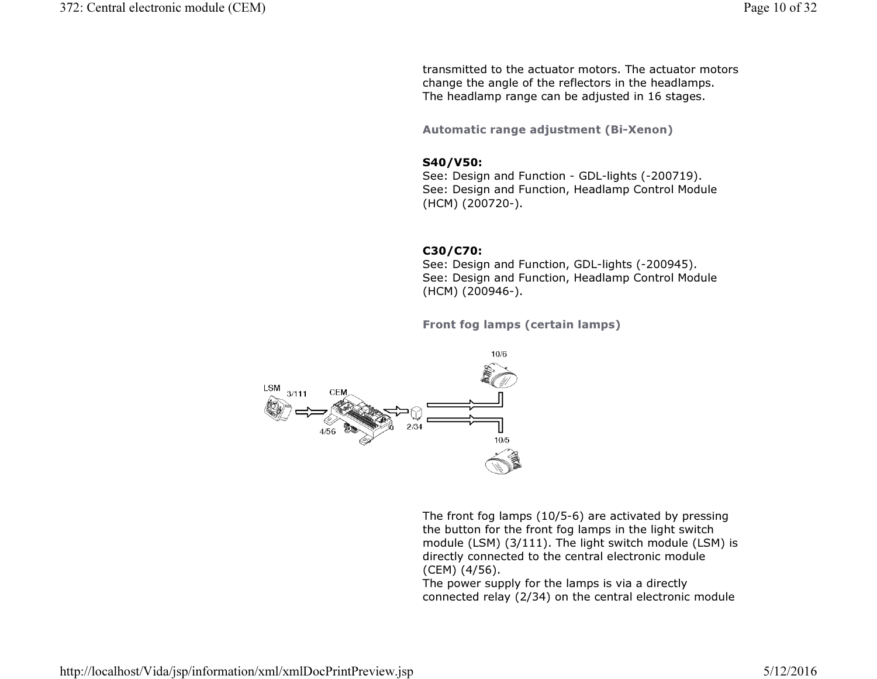transmitted to the actuator motors. The actuator motors change the angle of the reflectors in the headlamps. The headlamp range can be adjusted in 16 stages.

Automatic range adjustment (Bi-Xenon)

# S40/V50:

 See: Design and Function - GDL-lights (-200719). See: Design and Function, Headlamp Control Module (HCM) (200720-).

## C30/C70:

 See: Design and Function, GDL-lights (-200945). See: Design and Function, Headlamp Control Module (HCM) (200946-).

Front fog lamps (certain lamps)



The front fog lamps (10/5-6) are activated by pressing the button for the front fog lamps in the light switch module (LSM) (3/111). The light switch module (LSM) is directly connected to the central electronic module (CEM) (4/56).

 The power supply for the lamps is via a directly connected relay (2/34) on the central electronic module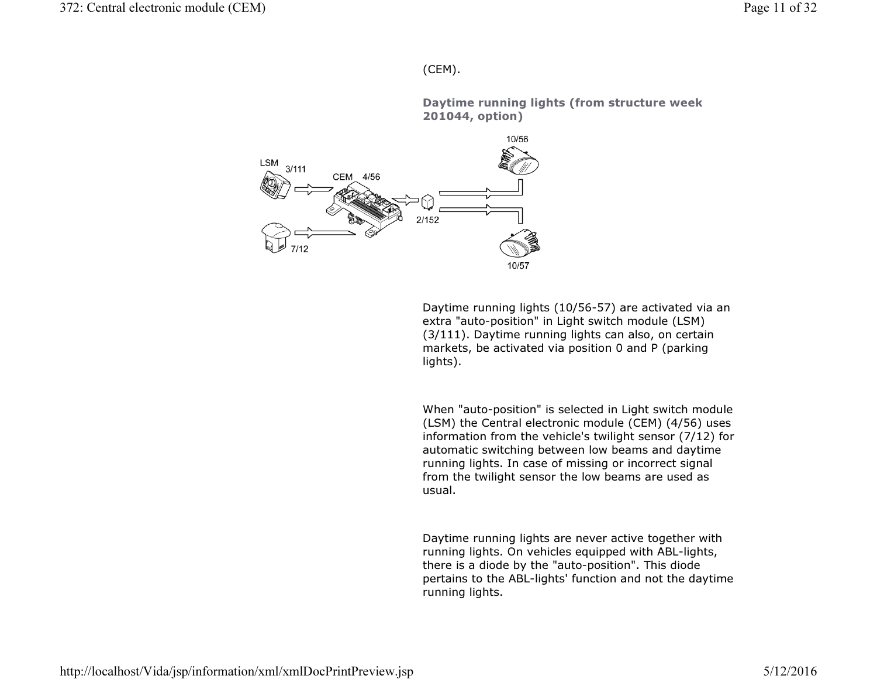# (CEM).

Daytime running lights (from structure week 201044, option)



Daytime running lights (10/56-57) are activated via anextra "auto-position" in Light switch module (LSM) (3/111). Daytime running lights can also, on certain markets, be activated via position 0 and P (parking lights).

When "auto-position" is selected in Light switch module (LSM) the Central electronic module (CEM) (4/56) uses information from the vehicle's twilight sensor (7/12) for automatic switching between low beams and daytime running lights. In case of missing or incorrect signal from the twilight sensor the low beams are used as usual.

Daytime running lights are never active together with running lights. On vehicles equipped with ABL-lights, there is a diode by the "auto-position". This diode pertains to the ABL-lights' function and not the daytimerunning lights.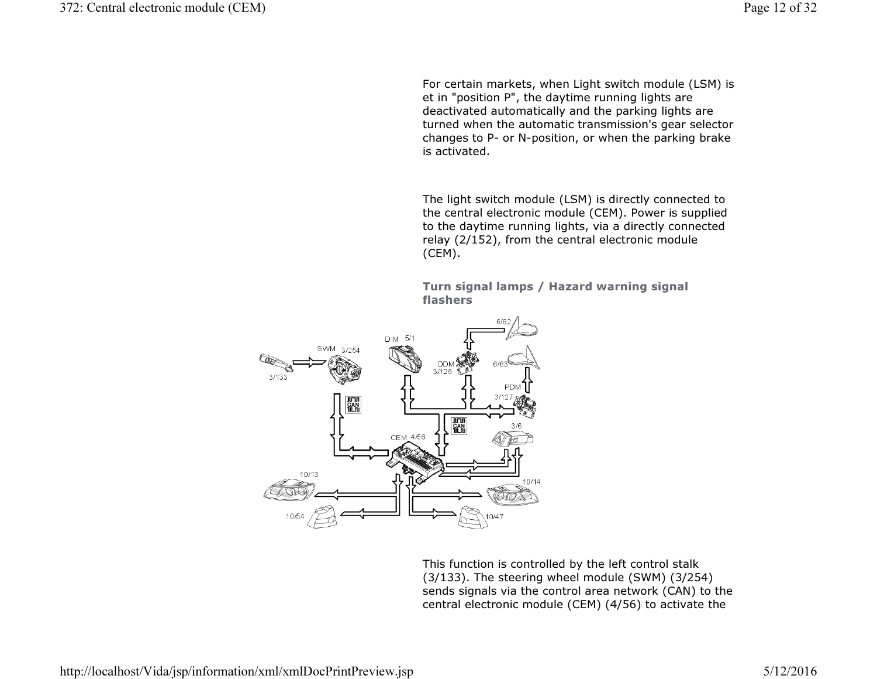For certain markets, when Light switch module (LSM) is et in "position P", the daytime running lights are deactivated automatically and the parking lights are turned when the automatic transmission's gear selector changes to P- or N-position, or when the parking brakeis activated.

The light switch module (LSM) is directly connected to the central electronic module (CEM). Power is supplied to the daytime running lights, via a directly connected relay (2/152), from the central electronic module (CEM).

Turn signal lamps / Hazard warning signal flashers



This function is controlled by the left control stalk (3/133). The steering wheel module (SWM) (3/254) sends signals via the control area network (CAN) to thecentral electronic module (CEM) (4/56) to activate the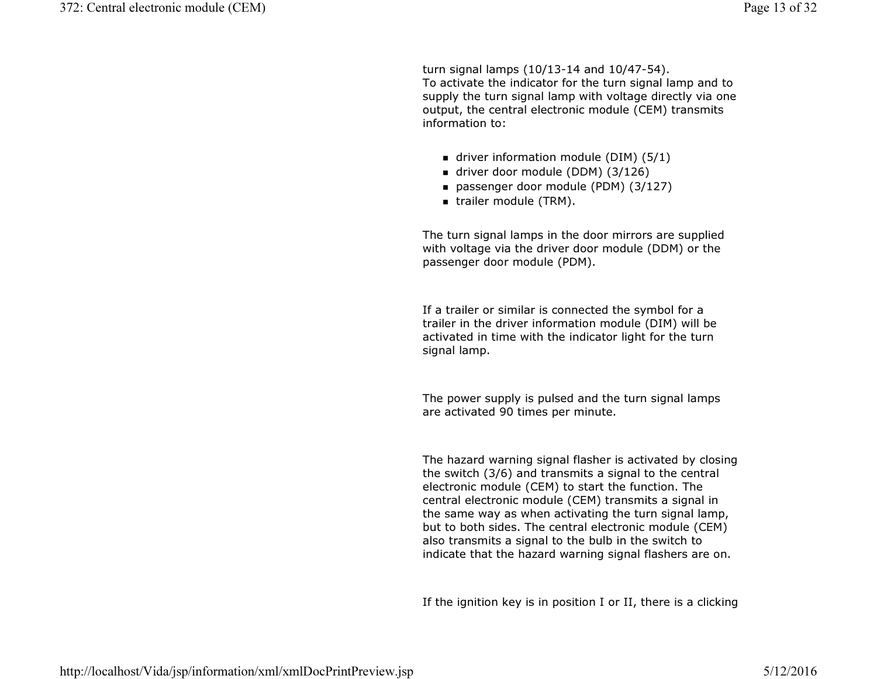turn signal lamps (10/13-14 and 10/47-54). To activate the indicator for the turn signal lamp and to supply the turn signal lamp with voltage directly via one output, the central electronic module (CEM) transmits information to:

- driver information module (DIM) (5/1)
- driver door module (DDM) (3/126)
- passenger door module (PDM) (3/127)
- trailer module (TRM).

The turn signal lamps in the door mirrors are supplied with voltage via the driver door module (DDM) or the passenger door module (PDM).

If a trailer or similar is connected the symbol for a trailer in the driver information module (DIM) will be activated in time with the indicator light for the turn signal lamp.

The power supply is pulsed and the turn signal lamps are activated 90 times per minute.

The hazard warning signal flasher is activated by closingthe switch (3/6) and transmits a signal to the central electronic module (CEM) to start the function. The central electronic module (CEM) transmits a signal in the same way as when activating the turn signal lamp, but to both sides. The central electronic module (CEM) also transmits a signal to the bulb in the switch to indicate that the hazard warning signal flashers are on.

If the ignition key is in position I or II, there is a clicking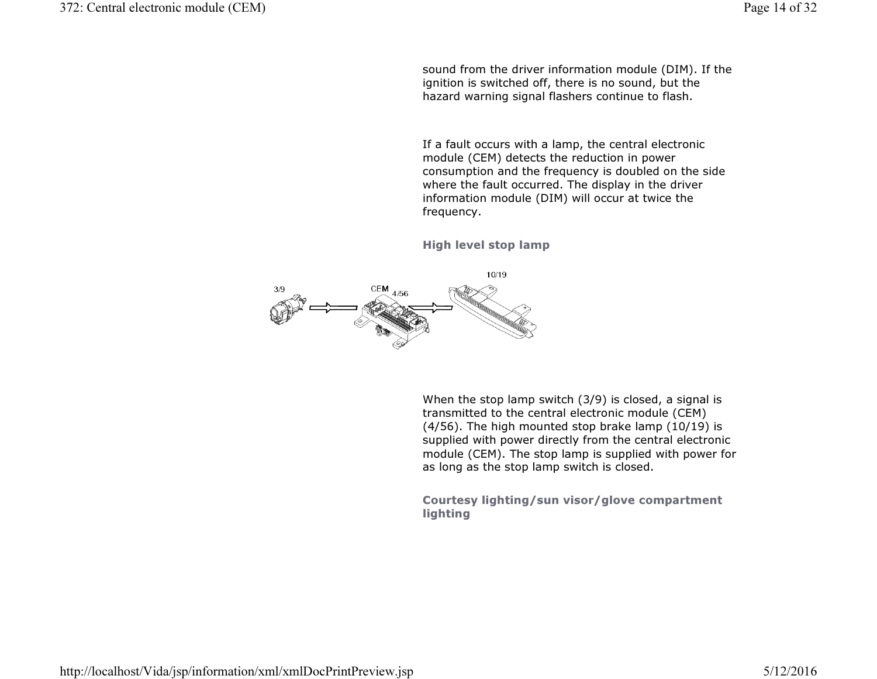sound from the driver information module (DIM). If the ignition is switched off, there is no sound, but the hazard warning signal flashers continue to flash.

If a fault occurs with a lamp, the central electronic module (CEM) detects the reduction in power consumption and the frequency is doubled on the side where the fault occurred. The display in the driver information module (DIM) will occur at twice the frequency.

High level stop lamp



When the stop lamp switch (3/9) is closed, a signal is transmitted to the central electronic module (CEM) (4/56). The high mounted stop brake lamp (10/19) is supplied with power directly from the central electronic module (CEM). The stop lamp is supplied with power for as long as the stop lamp switch is closed.

Courtesy lighting/sun visor/glove compartment lighting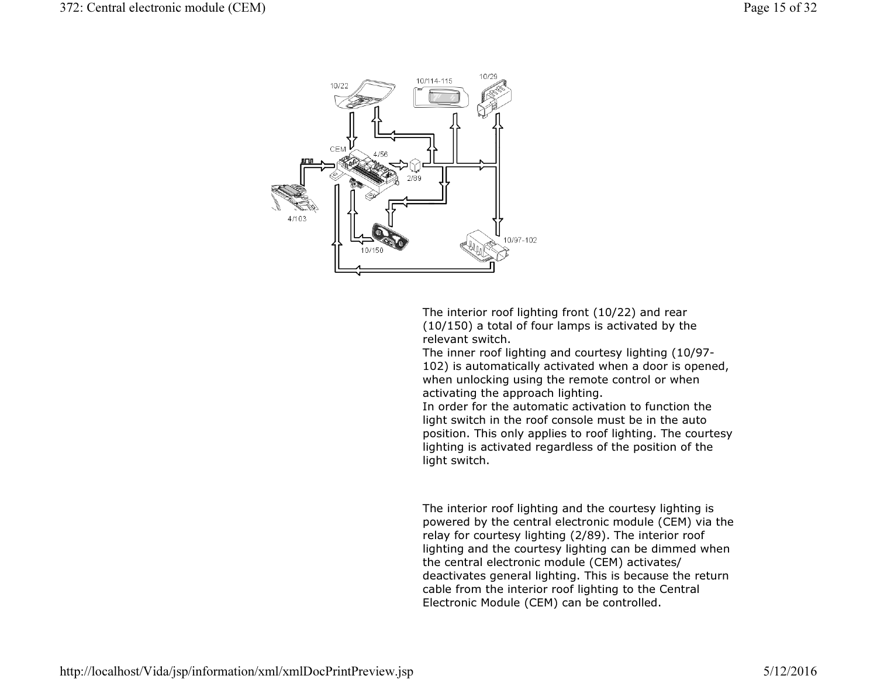

The interior roof lighting front (10/22) and rear (10/150) a total of four lamps is activated by the relevant switch.

 The inner roof lighting and courtesy lighting (10/97- 102) is automatically activated when a door is opened, when unlocking using the remote control or when activating the approach lighting.

 In order for the automatic activation to function the light switch in the roof console must be in the auto position. This only applies to roof lighting. The courtesylighting is activated regardless of the position of the light switch.

The interior roof lighting and the courtesy lighting is powered by the central electronic module (CEM) via the relay for courtesy lighting (2/89). The interior roof lighting and the courtesy lighting can be dimmed when the central electronic module (CEM) activates/ deactivates general lighting. This is because the return cable from the interior roof lighting to the Central Electronic Module (CEM) can be controlled.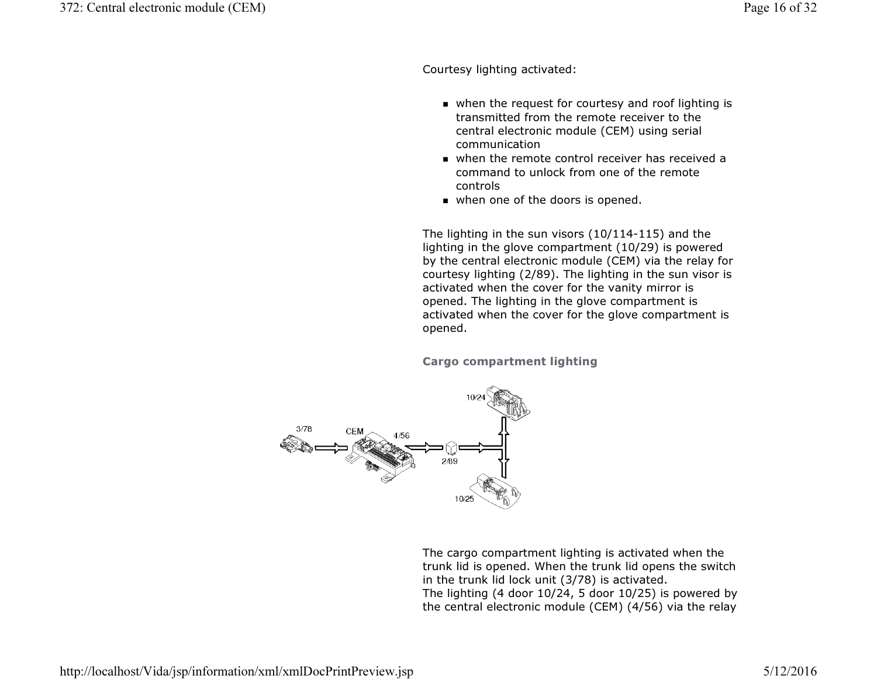Courtesy lighting activated:

- when the request for courtesy and roof lighting is transmitted from the remote receiver to the central electronic module (CEM) using serial communication
- when the remote control receiver has received a command to unlock from one of the remote controls
- when one of the doors is opened.

The lighting in the sun visors (10/114-115) and the lighting in the glove compartment (10/29) is powered by the central electronic module (CEM) via the relay for courtesy lighting (2/89). The lighting in the sun visor is activated when the cover for the vanity mirror is opened. The lighting in the glove compartment is activated when the cover for the glove compartment is opened.

Cargo compartment lighting



The cargo compartment lighting is activated when the trunk lid is opened. When the trunk lid opens the switch in the trunk lid lock unit (3/78) is activated. The lighting (4 door 10/24, 5 door 10/25) is powered by the central electronic module (CEM) (4/56) via the relay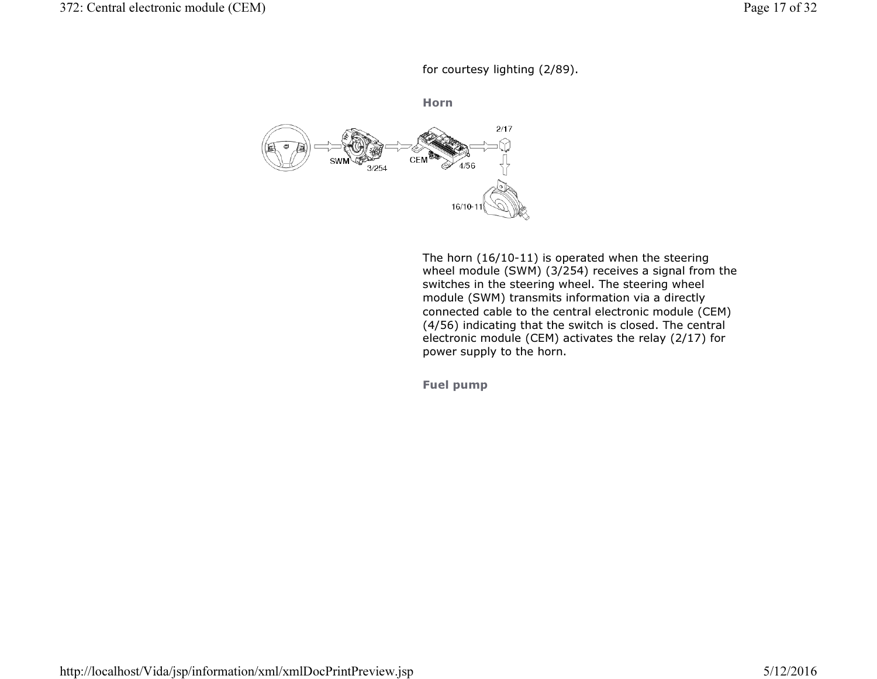for courtesy lighting (2/89).

Horn



The horn (16/10-11) is operated when the steering wheel module (SWM) (3/254) receives a signal from the switches in the steering wheel. The steering wheel module (SWM) transmits information via a directly connected cable to the central electronic module (CEM) (4/56) indicating that the switch is closed. The central electronic module (CEM) activates the relay (2/17) for power supply to the horn.

Fuel pump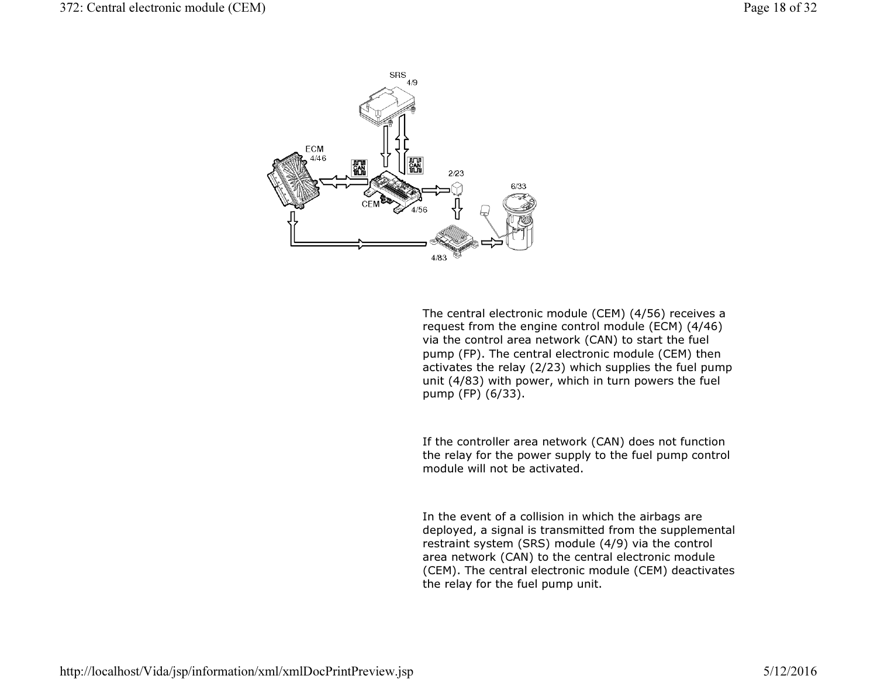

The central electronic module (CEM) (4/56) receives a request from the engine control module (ECM) (4/46) via the control area network (CAN) to start the fuel pump (FP). The central electronic module (CEM) then activates the relay (2/23) which supplies the fuel pumpunit (4/83) with power, which in turn powers the fuel pump (FP) (6/33).

If the controller area network (CAN) does not function the relay for the power supply to the fuel pump control module will not be activated.

In the event of a collision in which the airbags are deployed, a signal is transmitted from the supplemental restraint system (SRS) module (4/9) via the control area network (CAN) to the central electronic module (CEM). The central electronic module (CEM) deactivates the relay for the fuel pump unit.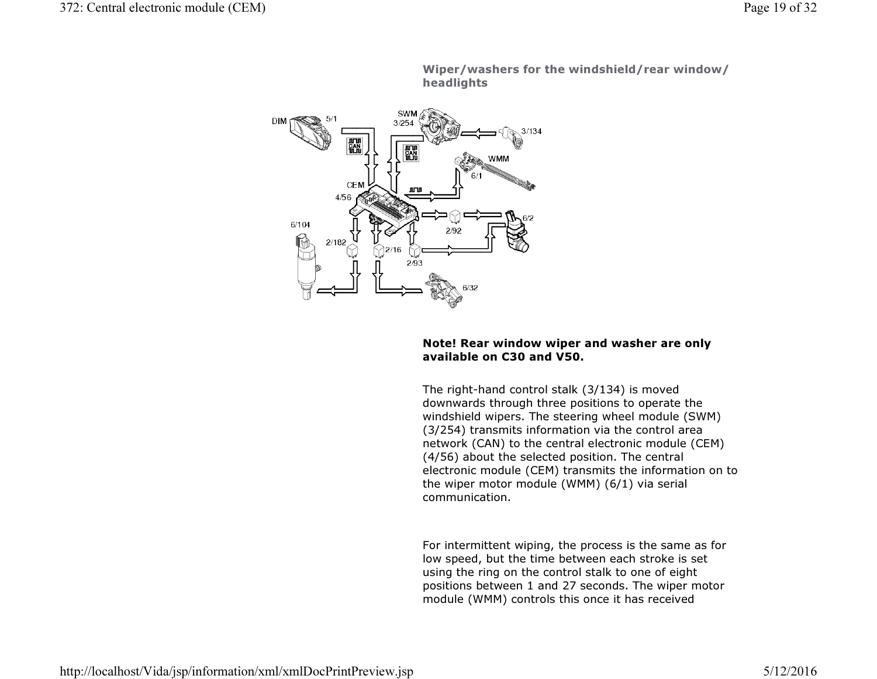

Wiper/washers for the windshield/rear window/ headlights

# Note! Rear window wiper and washer are only available on C30 and V50.

The right-hand control stalk (3/134) is moved downwards through three positions to operate the windshield wipers. The steering wheel module (SWM) (3/254) transmits information via the control area network (CAN) to the central electronic module (CEM) (4/56) about the selected position. The central electronic module (CEM) transmits the information on to the wiper motor module (WMM) (6/1) via serial communication.

For intermittent wiping, the process is the same as for low speed, but the time between each stroke is set using the ring on the control stalk to one of eight positions between 1 and 27 seconds. The wiper motor module (WMM) controls this once it has received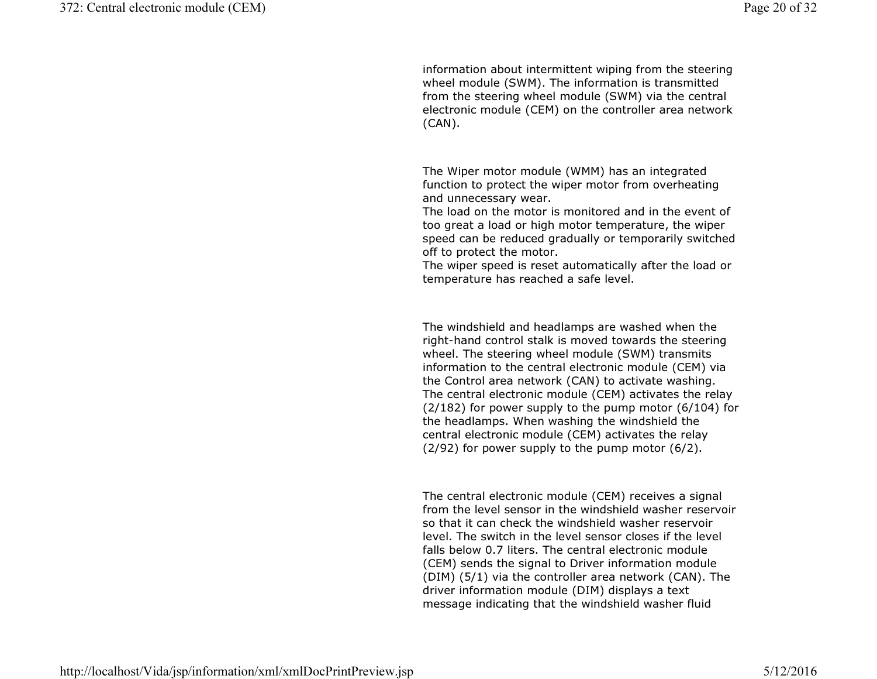information about intermittent wiping from the steering wheel module (SWM). The information is transmitted from the steering wheel module (SWM) via the central electronic module (CEM) on the controller area network (CAN).

The Wiper motor module (WMM) has an integrated function to protect the wiper motor from overheating and unnecessary wear.

 The load on the motor is monitored and in the event of too great a load or high motor temperature, the wiper speed can be reduced gradually or temporarily switched off to protect the motor.

 The wiper speed is reset automatically after the load or temperature has reached a safe level.

The windshield and headlamps are washed when the right-hand control stalk is moved towards the steering wheel. The steering wheel module (SWM) transmits information to the central electronic module (CEM) via the Control area network (CAN) to activate washing. The central electronic module (CEM) activates the relay (2/182) for power supply to the pump motor (6/104) for the headlamps. When washing the windshield the central electronic module (CEM) activates the relay (2/92) for power supply to the pump motor (6/2).

The central electronic module (CEM) receives a signal from the level sensor in the windshield washer reservoir so that it can check the windshield washer reservoir level. The switch in the level sensor closes if the level falls below 0.7 liters. The central electronic module (CEM) sends the signal to Driver information module (DIM) (5/1) via the controller area network (CAN). Thedriver information module (DIM) displays a text message indicating that the windshield washer fluid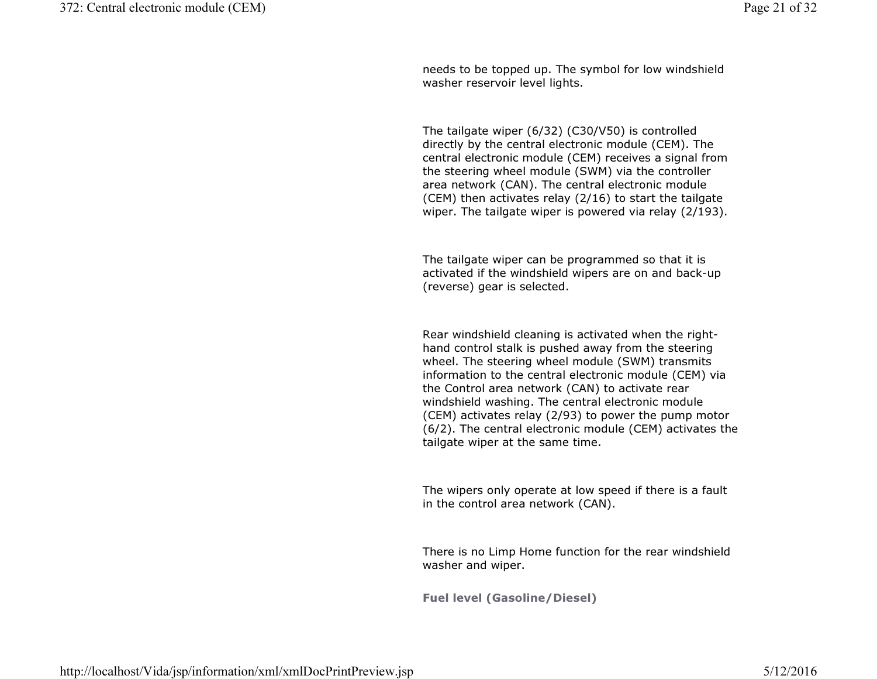needs to be topped up. The symbol for low windshield washer reservoir level lights.

The tailgate wiper (6/32) (C30/V50) is controlled directly by the central electronic module (CEM). The central electronic module (CEM) receives a signal from the steering wheel module (SWM) via the controller area network (CAN). The central electronic module (CEM) then activates relay (2/16) to start the tailgate wiper. The tailgate wiper is powered via relay (2/193).

The tailgate wiper can be programmed so that it is activated if the windshield wipers are on and back-up(reverse) gear is selected.

Rear windshield cleaning is activated when the righthand control stalk is pushed away from the steering wheel. The steering wheel module (SWM) transmits information to the central electronic module (CEM) via the Control area network (CAN) to activate rear windshield washing. The central electronic module (CEM) activates relay (2/93) to power the pump motor (6/2). The central electronic module (CEM) activates the tailgate wiper at the same time.

The wipers only operate at low speed if there is a fault in the control area network (CAN).

There is no Limp Home function for the rear windshield washer and wiper.

Fuel level (Gasoline/Diesel)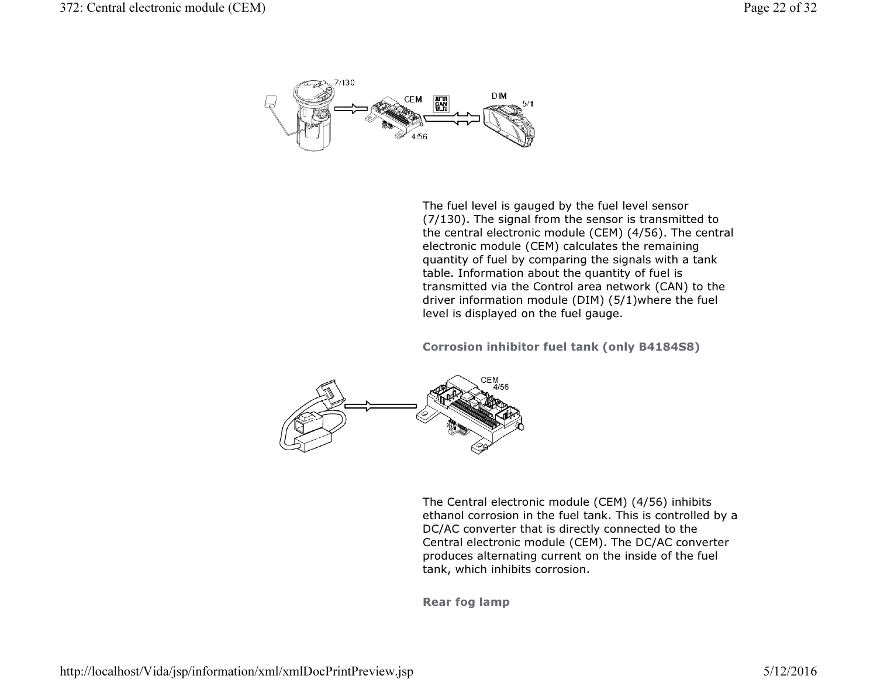

The fuel level is gauged by the fuel level sensor (7/130). The signal from the sensor is transmitted to the central electronic module (CEM) (4/56). The central electronic module (CEM) calculates the remaining quantity of fuel by comparing the signals with a tank table. Information about the quantity of fuel is transmitted via the Control area network (CAN) to the driver information module (DIM) (5/1)where the fuel level is displayed on the fuel gauge.

Corrosion inhibitor fuel tank (only B4184S8)



The Central electronic module (CEM) (4/56) inhibits ethanol corrosion in the fuel tank. This is controlled by a DC/AC converter that is directly connected to the Central electronic module (CEM). The DC/AC converter produces alternating current on the inside of the fuel tank, which inhibits corrosion.

Rear fog lamp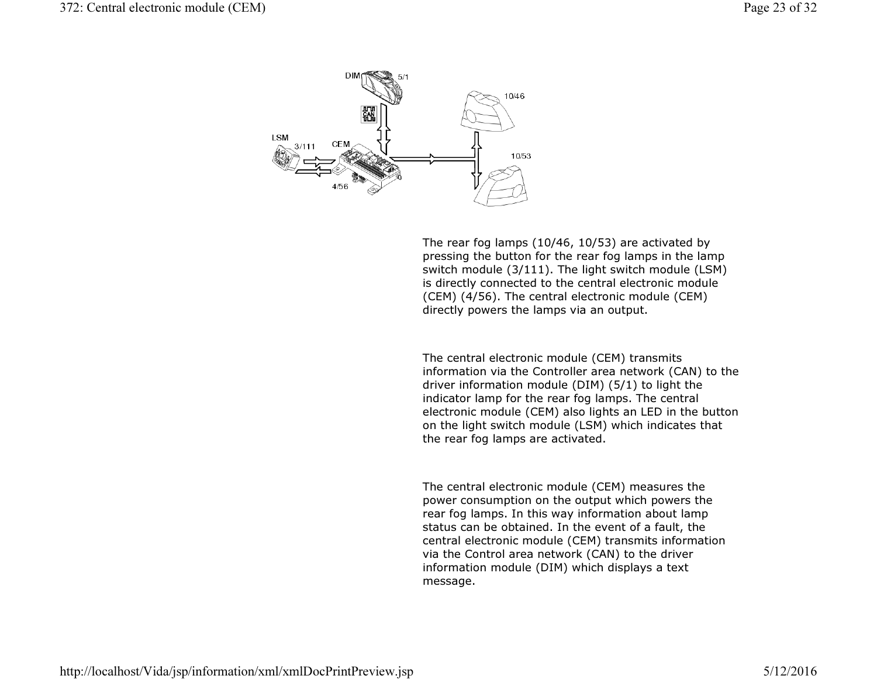

The rear fog lamps (10/46, 10/53) are activated by pressing the button for the rear fog lamps in the lamp switch module (3/111). The light switch module (LSM) is directly connected to the central electronic module (CEM) (4/56). The central electronic module (CEM) directly powers the lamps via an output.

The central electronic module (CEM) transmits information via the Controller area network (CAN) to thedriver information module (DIM) (5/1) to light the indicator lamp for the rear fog lamps. The central electronic module (CEM) also lights an LED in the buttonon the light switch module (LSM) which indicates that the rear fog lamps are activated.

The central electronic module (CEM) measures the power consumption on the output which powers the rear fog lamps. In this way information about lamp status can be obtained. In the event of a fault, the central electronic module (CEM) transmits information via the Control area network (CAN) to the driver information module (DIM) which displays a text message.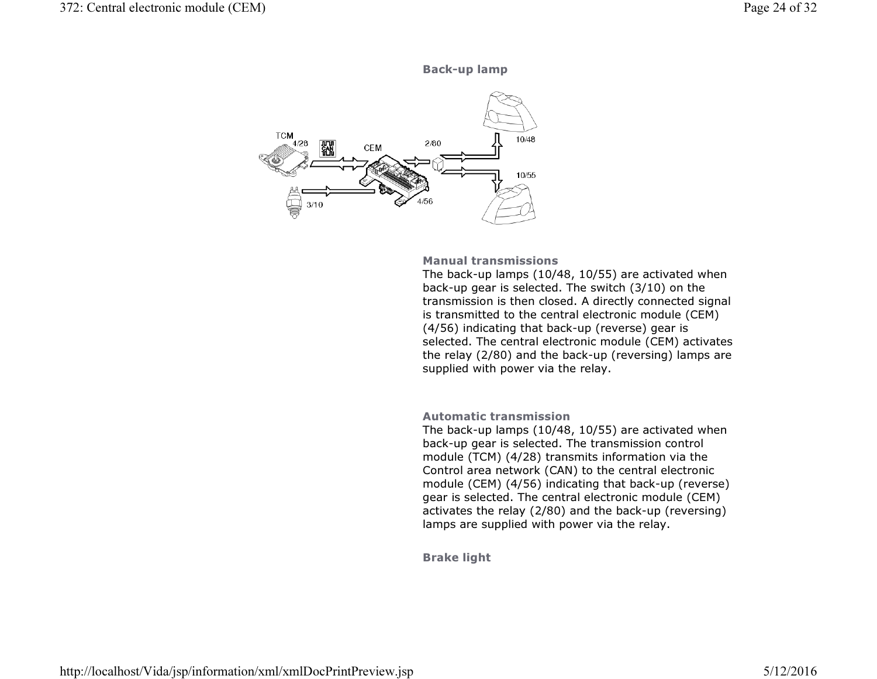



#### Manual transmissions

 The back-up lamps (10/48, 10/55) are activated when back-up gear is selected. The switch (3/10) on the transmission is then closed. A directly connected signal is transmitted to the central electronic module (CEM) (4/56) indicating that back-up (reverse) gear is selected. The central electronic module (CEM) activates the relay (2/80) and the back-up (reversing) lamps are supplied with power via the relay.

## Automatic transmission

 The back-up lamps (10/48, 10/55) are activated when back-up gear is selected. The transmission control module (TCM) (4/28) transmits information via the Control area network (CAN) to the central electronic module (CEM) (4/56) indicating that back-up (reverse) gear is selected. The central electronic module (CEM) activates the relay (2/80) and the back-up (reversing)lamps are supplied with power via the relay.

Brake light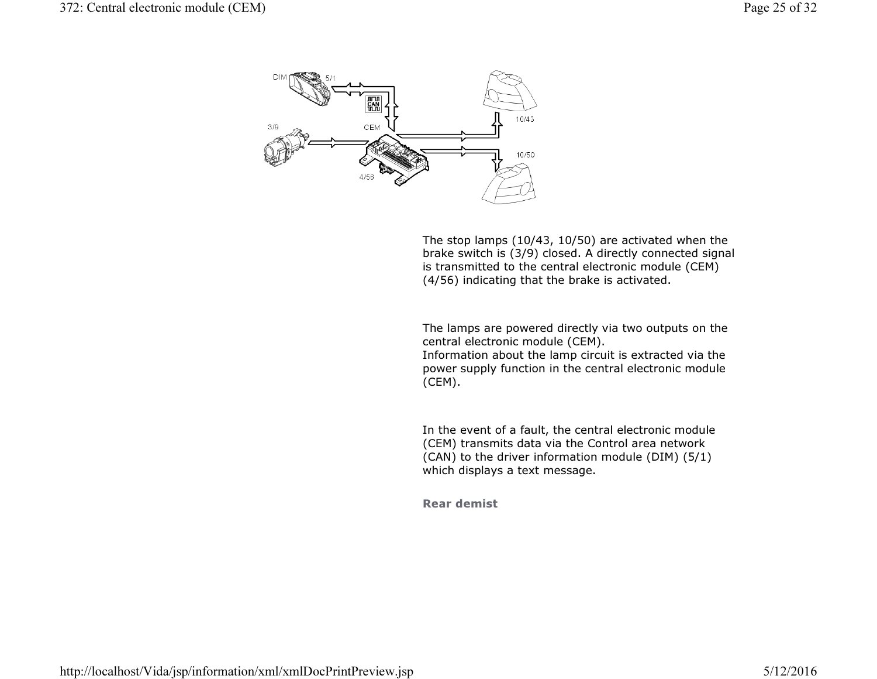

The stop lamps (10/43, 10/50) are activated when the brake switch is (3/9) closed. A directly connected signalis transmitted to the central electronic module (CEM) (4/56) indicating that the brake is activated.

The lamps are powered directly via two outputs on the central electronic module (CEM). Information about the lamp circuit is extracted via the

 power supply function in the central electronic module (CEM).

In the event of a fault, the central electronic module (CEM) transmits data via the Control area network (CAN) to the driver information module (DIM) (5/1) which displays a text message.

Rear demist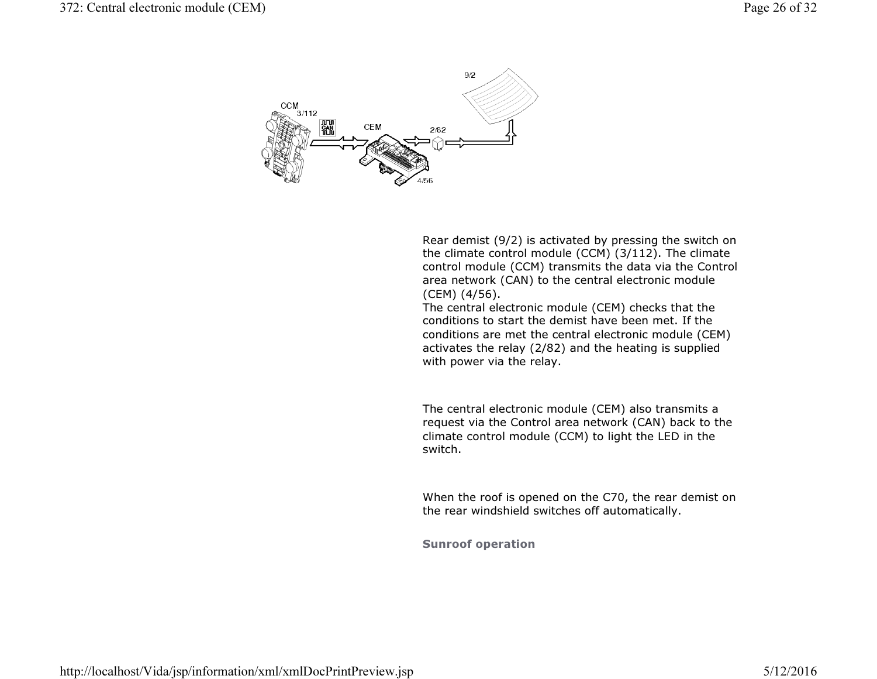

Rear demist (9/2) is activated by pressing the switch on the climate control module (CCM) (3/112). The climate control module (CCM) transmits the data via the Control area network (CAN) to the central electronic module (CEM) (4/56).

 The central electronic module (CEM) checks that the conditions to start the demist have been met. If the conditions are met the central electronic module (CEM) activates the relay (2/82) and the heating is supplied with power via the relay.

The central electronic module (CEM) also transmits a request via the Control area network (CAN) back to theclimate control module (CCM) to light the LED in the switch.

When the roof is opened on the C70, the rear demist onthe rear windshield switches off automatically.

Sunroof operation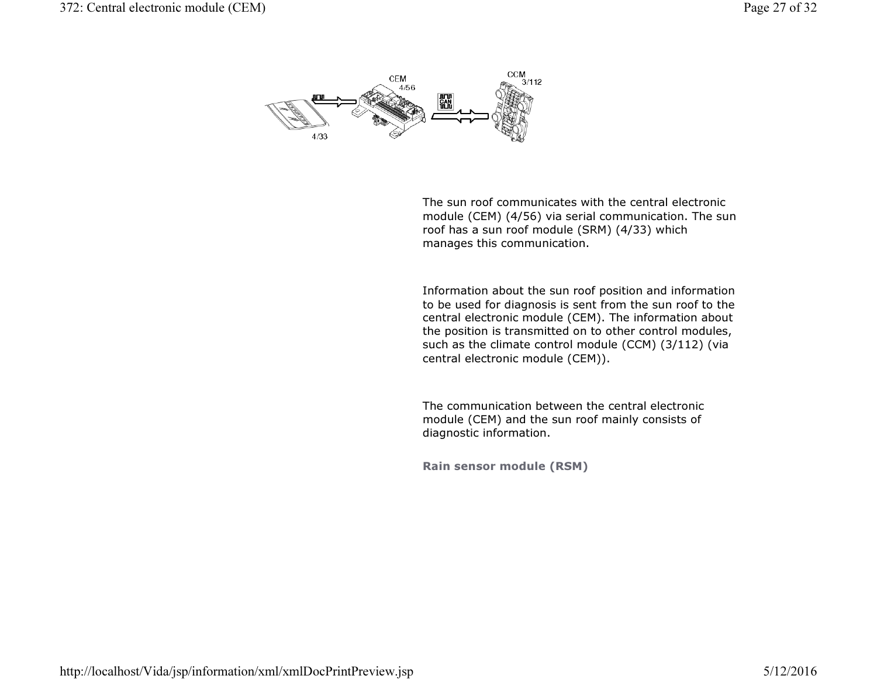

The sun roof communicates with the central electronic module (CEM) (4/56) via serial communication. The sun roof has a sun roof module (SRM) (4/33) which manages this communication.

Information about the sun roof position and information to be used for diagnosis is sent from the sun roof to the central electronic module (CEM). The information about the position is transmitted on to other control modules, such as the climate control module (CCM) (3/112) (via central electronic module (CEM)).

The communication between the central electronic module (CEM) and the sun roof mainly consists of diagnostic information.

Rain sensor module (RSM)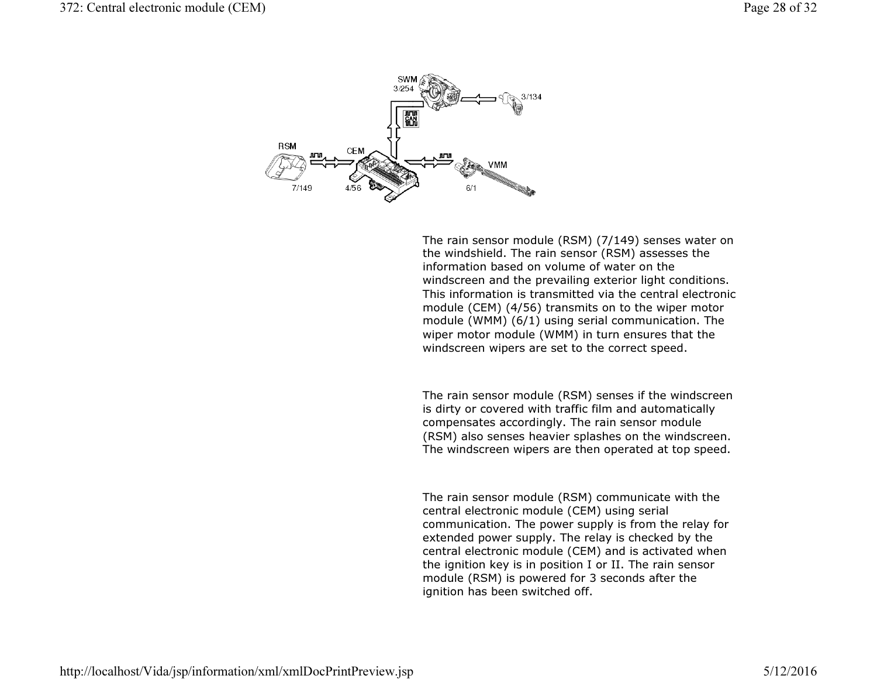

The rain sensor module (RSM) (7/149) senses water on the windshield. The rain sensor (RSM) assesses the information based on volume of water on the windscreen and the prevailing exterior light conditions. This information is transmitted via the central electronic module (CEM) (4/56) transmits on to the wiper motor module (WMM) (6/1) using serial communication. The wiper motor module (WMM) in turn ensures that the windscreen wipers are set to the correct speed.

The rain sensor module (RSM) senses if the windscreen is dirty or covered with traffic film and automatically compensates accordingly. The rain sensor module (RSM) also senses heavier splashes on the windscreen. The windscreen wipers are then operated at top speed.

The rain sensor module (RSM) communicate with the central electronic module (CEM) using serial communication. The power supply is from the relay for extended power supply. The relay is checked by the central electronic module (CEM) and is activated when the ignition key is in position I or II. The rain sensormodule (RSM) is powered for 3 seconds after the ignition has been switched off.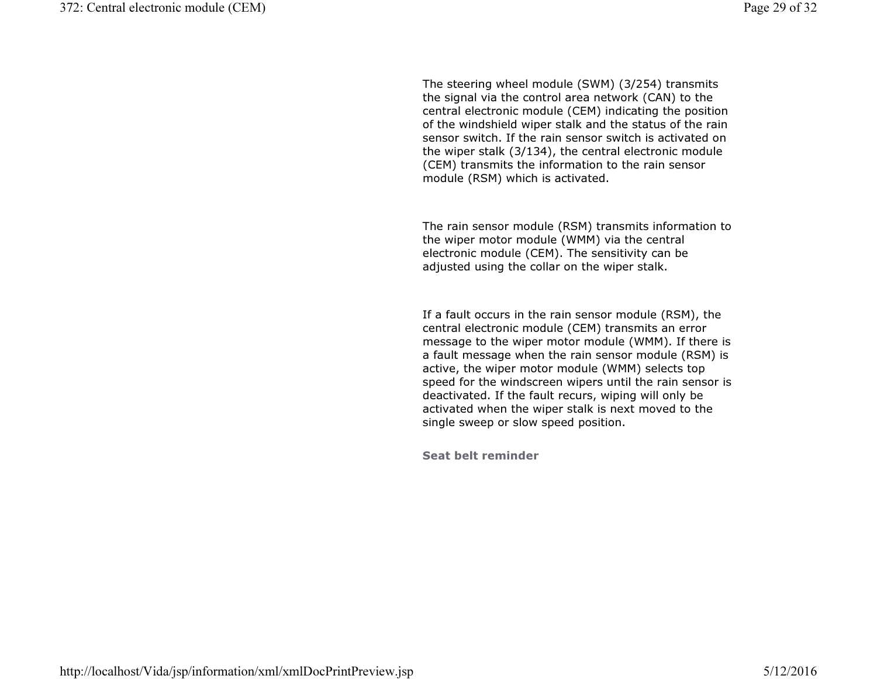The steering wheel module (SWM) (3/254) transmits the signal via the control area network (CAN) to the central electronic module (CEM) indicating the position of the windshield wiper stalk and the status of the rain sensor switch. If the rain sensor switch is activated on the wiper stalk (3/134), the central electronic module (CEM) transmits the information to the rain sensor module (RSM) which is activated.

The rain sensor module (RSM) transmits information to the wiper motor module (WMM) via the central electronic module (CEM). The sensitivity can be adjusted using the collar on the wiper stalk.

If a fault occurs in the rain sensor module (RSM), the central electronic module (CEM) transmits an error message to the wiper motor module (WMM). If there is a fault message when the rain sensor module (RSM) is active, the wiper motor module (WMM) selects top speed for the windscreen wipers until the rain sensor is deactivated. If the fault recurs, wiping will only be activated when the wiper stalk is next moved to the single sweep or slow speed position.

Seat belt reminder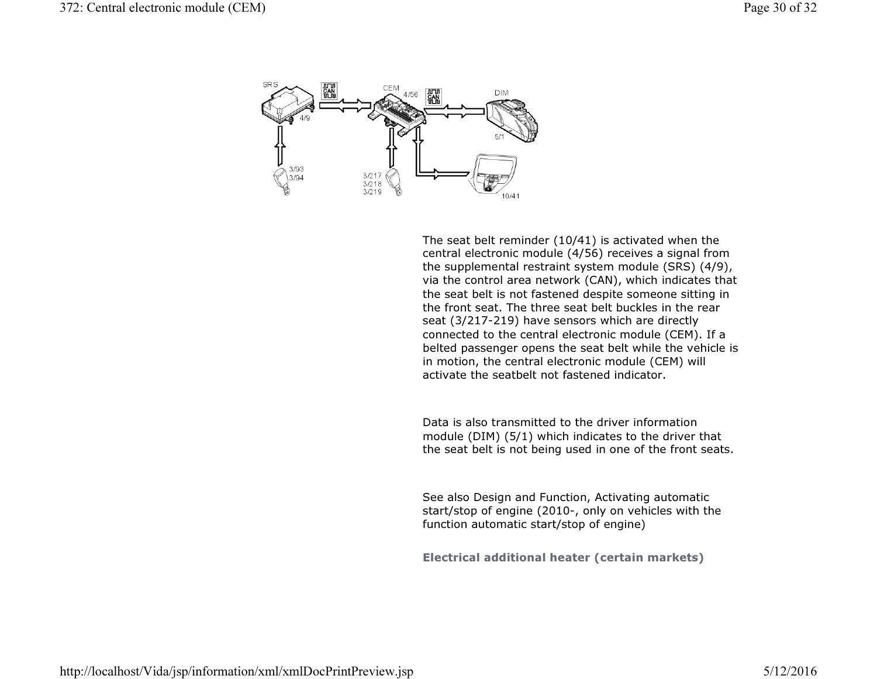

The seat belt reminder (10/41) is activated when the central electronic module (4/56) receives a signal from the supplemental restraint system module (SRS) (4/9), via the control area network (CAN), which indicates thatthe seat belt is not fastened despite someone sitting in the front seat. The three seat belt buckles in the rear seat (3/217-219) have sensors which are directly connected to the central electronic module (CEM). If a belted passenger opens the seat belt while the vehicle is in motion, the central electronic module (CEM) will activate the seatbelt not fastened indicator.

Data is also transmitted to the driver information module (DIM) (5/1) which indicates to the driver that the seat belt is not being used in one of the front seats.

See also Design and Function, Activating automatic start/stop of engine (2010-, only on vehicles with the function automatic start/stop of engine)

Electrical additional heater (certain markets)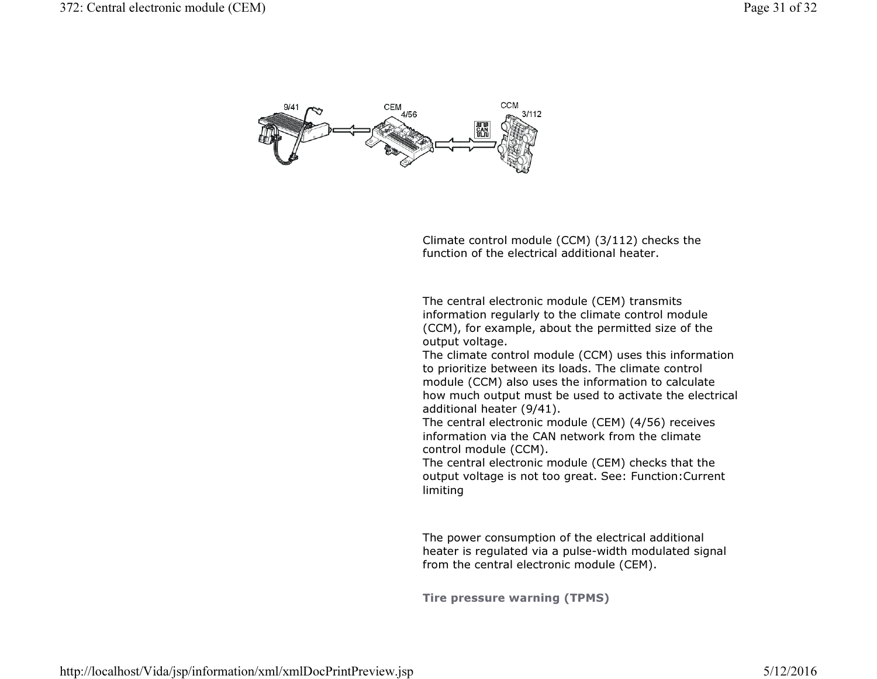

Climate control module (CCM) (3/112) checks the function of the electrical additional heater.

The central electronic module (CEM) transmits information regularly to the climate control module (CCM), for example, about the permitted size of the output voltage.

 The climate control module (CCM) uses this information to prioritize between its loads. The climate control module (CCM) also uses the information to calculate how much output must be used to activate the electrical additional heater (9/41).

 The central electronic module (CEM) (4/56) receives information via the CAN network from the climate control module (CCM).

 The central electronic module (CEM) checks that the output voltage is not too great. See: Function:Currentlimiting

The power consumption of the electrical additional heater is regulated via a pulse-width modulated signalfrom the central electronic module (CEM).

Tire pressure warning (TPMS)